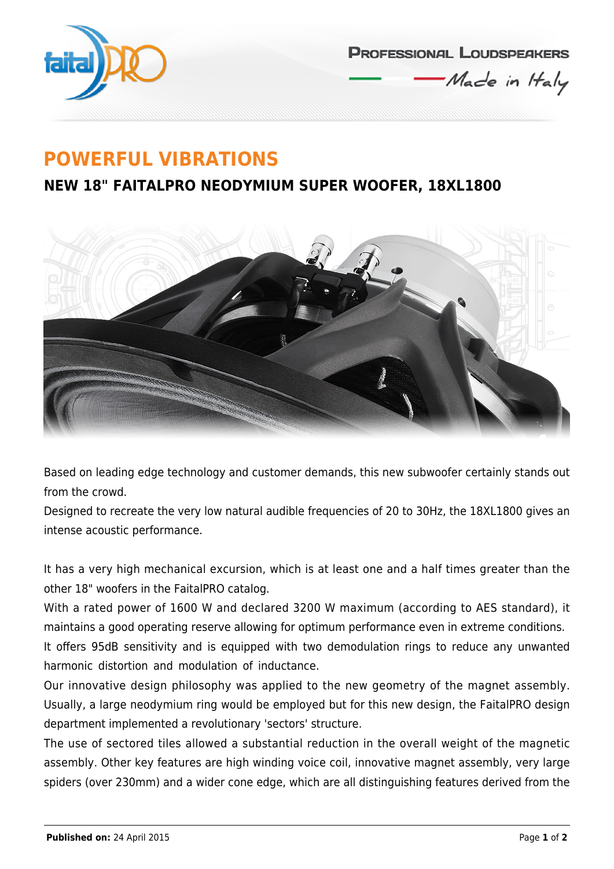

**PROFESSIONAL LOUDSPEAKERS** 

Made in Haly

## **POWERFUL VIBRATIONS**

## **NEW 18" FAITALPRO NEODYMIUM SUPER WOOFER, 18XL1800**



Based on leading edge technology and customer demands, this new subwoofer certainly stands out from the crowd.

Designed to recreate the very low natural audible frequencies of 20 to 30Hz, the 18XL1800 gives an intense acoustic performance.

It has a very high mechanical excursion, which is at least one and a half times greater than the other 18" woofers in the FaitalPRO catalog.

With a rated power of 1600 W and declared 3200 W maximum (according to AES standard), it maintains a good operating reserve allowing for optimum performance even in extreme conditions. It offers 95dB sensitivity and is equipped with two demodulation rings to reduce any unwanted harmonic distortion and modulation of inductance.

Our innovative design philosophy was applied to the new geometry of the magnet assembly. Usually, a large neodymium ring would be employed but for this new design, the FaitalPRO design department implemented a revolutionary 'sectors' structure.

The use of sectored tiles allowed a substantial reduction in the overall weight of the magnetic assembly. Other key features are high winding voice coil, innovative magnet assembly, very large spiders (over 230mm) and a wider cone edge, which are all distinguishing features derived from the